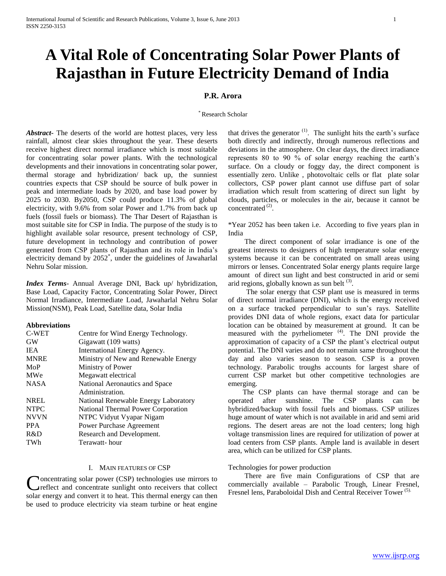# **A Vital Role of Concentrating Solar Power Plants of Rajasthan in Future Electricity Demand of India**

# **P.R. Arora**

#### \* Research Scholar

*Abstract***-** The deserts of the world are hottest places, very less rainfall, almost clear skies throughout the year. These deserts receive highest direct normal irradiance which is most suitable for concentrating solar power plants. With the technological developments and their innovations in concentrating solar power, thermal storage and hybridization/ back up, the sunniest countries expects that CSP should be source of bulk power in peak and intermediate loads by 2020, and base load power by 2025 to 2030. By2050, CSP could produce 11.3% of global electricity, with 9.6% from solar Power and 1.7% from back up fuels (fossil fuels or biomass). The Thar Desert of Rajasthan is most suitable site for CSP in India. The purpose of the study is to highlight available solar resource, present technology of CSP, future development in technology and contribution of power generated from CSP plants of Rajasthan and its role in India's electricity demand by 2052<sup>\*</sup>, under the guidelines of Jawaharlal Nehru Solar mission.

*Index Terms*- Annual Average DNI, Back up/ hybridization, Base Load, Capacity Factor, Concentrating Solar Power, Direct Normal Irradiance, Intermediate Load, Jawaharlal Nehru Solar Mission(NSM), Peak Load, Satellite data, Solar India

#### **Abbreviations**

| C-WET       | Centre for Wind Energy Technology.   |
|-------------|--------------------------------------|
| <b>GW</b>   | Gigawatt (109 watts)                 |
| <b>IEA</b>  | International Energy Agency.         |
| <b>MNRE</b> | Ministry of New and Renewable Energy |
| MoP         | Ministry of Power                    |
| MWe         | Megawatt electrical                  |
| <b>NASA</b> | National Aeronautics and Space       |
|             | Administration.                      |
| <b>NREL</b> | National Renewable Energy Laboratory |
| <b>NTPC</b> | National Thermal Power Corporation   |
| <b>NVVN</b> | NTPC Vidyut Vyapar Nigam             |
| <b>PPA</b>  | Power Purchase Agreement             |
| R&D         | Research and Development.            |
| TWh         | Terawatt-hour                        |

### I. MAIN FEATURES OF CSP

oncentrating solar power (CSP) technologies use mirrors to reflect and concentrate sunlight onto receivers that collect solar energy and convert it to heat. This thermal energy can then be used to produce electricity via steam turbine or heat engine

that drives the generator  $(1)$ . The sunlight hits the earth's surface both directly and indirectly, through numerous reflections and deviations in the atmosphere. On clear days, the direct irradiance represents 80 to 90 % of solar energy reaching the earth's surface. On a cloudy or foggy day, the direct component is essentially zero. Unlike , photovoltaic cells or flat plate solar collectors, CSP power plant cannot use diffuse part of solar irradiation which result from scattering of direct sun light by clouds, particles, or molecules in the air, because it cannot be concentrated  $^{(2)}$ .

\*Year 2052 has been taken i.e. According to five years plan in India

 The direct component of solar irradiance is one of the greatest interests to designers of high temperature solar energy systems because it can be concentrated on small areas using mirrors or lenses. Concentrated Solar energy plants require large amount of direct sun light and best constructed in arid or semi arid regions, globally known as sun belt  $(3)$ .

 The solar energy that CSP plant use is measured in terms of direct normal irradiance (DNI), which is the energy received on a surface tracked perpendicular to sun's rays. Satellite provides DNI data of whole regions, exact data for particular location can be obtained by measurement at ground. It can be measured with the pyrheliometer  $(4)$ . The DNI provide the approximation of capacity of a CSP the plant's electrical output potential. The DNI varies and do not remain same throughout the day and also varies season to season. CSP is a proven technology. Parabolic troughs accounts for largest share of current CSP market but other competitive technologies are emerging.

 The CSP plants can have thermal storage and can be operated after sunshine. The CSP plants can be hybridized/backup with fossil fuels and biomass. CSP utilizes huge amount of water which is not available in arid and semi arid regions. The desert areas are not the load centers; long high voltage transmission lines are required for utilization of power at load centers from CSP plants. Ample land is available in desert area, which can be utilized for CSP plants.

# Technologies for power production

 There are five main Configurations of CSP that are commercially available – Parabolic Trough, Linear Fresnel, Fresnel lens, Paraboloidal Dish and Central Receiver Tower<sup>(5).</sup>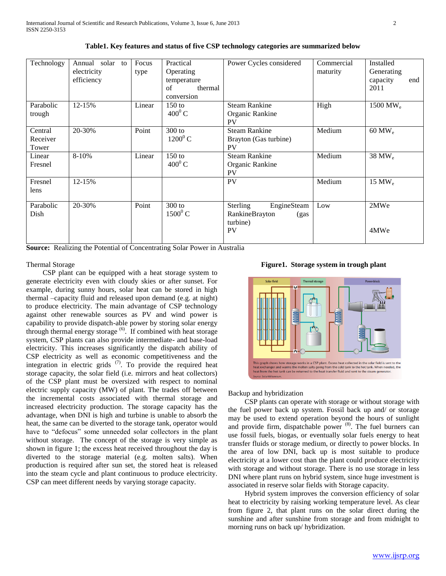| Technology                   | Annual solar to<br>electricity<br>efficiency | Focus<br>type | Practical<br>Operating<br>temperature<br>thermal<br>of<br>conversion | Power Cycles considered                                                    | Commercial<br>maturity | Installed<br>Generating<br>capacity<br>end<br>2011 |
|------------------------------|----------------------------------------------|---------------|----------------------------------------------------------------------|----------------------------------------------------------------------------|------------------------|----------------------------------------------------|
| Parabolic<br>trough          | 12-15%                                       | Linear        | $150$ to<br>$400^0$ C                                                | <b>Steam Rankine</b><br>Organic Rankine<br><b>PV</b>                       | High                   | 1500 MW <sub>e</sub>                               |
| Central<br>Receiver<br>Tower | 20-30%                                       | Point         | $300$ to<br>$1200^0$ C                                               | <b>Steam Rankine</b><br>Brayton (Gas turbine)<br><b>PV</b>                 | Medium                 | $60$ MW <sub>e</sub>                               |
| Linear<br>Fresnel            | 8-10%                                        | Linear        | $150$ to<br>$400^0$ C                                                | <b>Steam Rankine</b><br>Organic Rankine<br><b>PV</b>                       | Medium                 | 38 MW <sub>e</sub>                                 |
| Fresnel<br>lens              | 12-15%                                       |               |                                                                      | <b>PV</b>                                                                  | Medium                 | 15 MW $_{\rm e}$                                   |
| Parabolic<br>Dish            | 20-30%                                       | Point         | $300$ to<br>$1500^0$ C                                               | Sterling<br>EngineSteam<br>RankineBrayton<br>(gas<br>turbine)<br><b>PV</b> | Low                    | 2MWe<br>4MWe                                       |

**Table1. Key features and status of five CSP technology categories are summarized below**

**Source:** Realizing the Potential of Concentrating Solar Power in Australia

# Thermal Storage

 CSP plant can be equipped with a heat storage system to generate electricity even with cloudy skies or after sunset. For example, during sunny hours, solar heat can be stored in high thermal –capacity fluid and released upon demand (e.g. at night) to produce electricity. The main advantage of CSP technology against other renewable sources as PV and wind power is capability to provide dispatch-able power by storing solar energy through thermal energy storage <sup>(6)</sup>. If combined with heat storage system, CSP plants can also provide intermediate- and base-load electricity. This increases significantly the dispatch ability of CSP electricity as well as economic competitiveness and the integration in electric grids  $(7)$ . To provide the required heat storage capacity, the solar field (i.e. mirrors and heat collectors) of the CSP plant must be oversized with respect to nominal electric supply capacity (MW) of plant. The trades off between the incremental costs associated with thermal storage and increased electricity production. The storage capacity has the advantage, when DNI is high and turbine is unable to absorb the heat, the same can be diverted to the storage tank, operator would have to "defocus" some unneeded solar collectors in the plant without storage. The concept of the storage is very simple as shown in figure 1; the excess heat received throughout the day is diverted to the storage material (e.g. molten salts). When production is required after sun set, the stored heat is released into the steam cycle and plant continuous to produce electricity. CSP can meet different needs by varying storage capacity.





#### Backup and hybridization

 CSP plants can operate with storage or without storage with the fuel power back up system. Fossil back up and/ or storage may be used to extend operation beyond the hours of sunlight and provide firm, dispatchable power (8). The fuel burners can use fossil fuels, biogas, or eventually solar fuels energy to heat transfer fluids or storage medium, or directly to power blocks. In the area of low DNI, back up is most suitable to produce electricity at a lower cost than the plant could produce electricity with storage and without storage. There is no use storage in less DNI where plant runs on hybrid system, since huge investment is associated in reserve solar fields with Storage capacity.

 Hybrid system improves the conversion efficiency of solar heat to electricity by raising working temperature level. As clear from figure 2, that plant runs on the solar direct during the sunshine and after sunshine from storage and from midnight to morning runs on back up/ hybridization.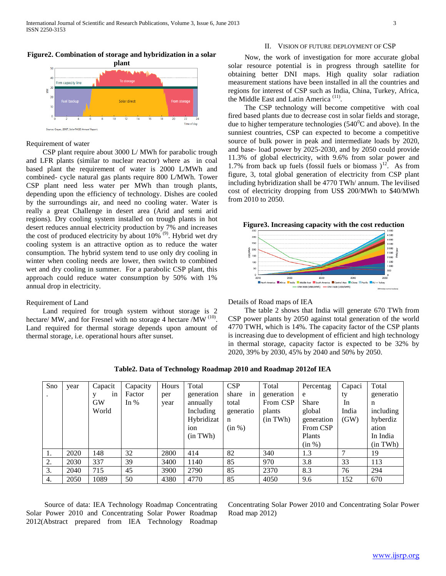# **plant** Firm capacity line ğ Solar direct From storad Time of day

# **Figure2. Combination of storage and hybridization in a solar**

## Requirement of water

Source: Geyer, 2007, SolarPACES Annual Repor

 CSP plant require about 3000 L/ MWh for parabolic trough and LFR plants (similar to nuclear reactor) where as in coal based plant the requirement of water is 2000 L/MWh and combined- cycle natural gas plants require 800 L/MWh. Tower CSP plant need less water per MWh than trough plants, depending upon the efficiency of technology. Dishes are cooled by the surroundings air, and need no cooling water. Water is really a great Challenge in desert area (Arid and semi arid regions). Dry cooling system installed on trough plants in hot desert reduces annual electricity production by 7% and increases the cost of produced electricity by about  $10\%$ <sup>(9)</sup>. Hybrid wet dry cooling system is an attractive option as to reduce the water consumption. The hybrid system tend to use only dry cooling in winter when cooling needs are lower, then switch to combined wet and dry cooling in summer. For a parabolic CSP plant, this approach could reduce water consumption by 50% with 1% annual drop in electricity.

#### Requirement of Land

 Land required for trough system without storage is 2 hectare/ MW, and for Fresnel with no storage 4 hectare /MW <sup>(10)</sup>. Land required for thermal storage depends upon amount of thermal storage, i.e. operational hours after sunset.

# II. VISION OF FUTURE DEPLOYMENT OF CSP

 Now, the work of investigation for more accurate global solar resource potential is in progress through satellite for obtaining better DNI maps. High quality solar radiation measurement stations have been installed in all the countries and regions for interest of CSP such as India, China, Turkey, Africa, the Middle East and Latin America<sup>(11)</sup>.

 The CSP technology will become competitive with coal fired based plants due to decrease cost in solar fields and storage, due to higher temperature technologies ( $540^{\circ}$ C and above). In the sunniest countries, CSP can expected to become a competitive source of bulk power in peak and intermediate loads by 2020, and base- load power by 2025-2030, and by 2050 could provide 11.3% of global electricity, with 9.6% from solar power and 1.7% from back up fuels (fossil fuels or biomass)<sup>12</sup>. As from figure, 3, total global generation of electricity from CSP plant including hybridization shall be 4770 TWh/ annum. The levilised cost of electricity dropping from US\$ 200/MWh to \$40/MWh from 2010 to 2050.



- DNI 2600 (USD)

Middle Ford No

2040 Captured Ariz **D**C

Details of Road maps of IEA

 The table 2 shows that India will generate 670 TWh from CSP power plants by 2050 against total generation of the world 4770 TWH, which is 14%. The capacity factor of the CSP plants is increasing due to development of efficient and high technology in thermal storage, capacity factor is expected to be 32% by 2020, 39% by 2030, 45% by 2040 and 50% by 2050.

| Sno                  | year | Capacit                       | Capacity         | Hours       | Total                                                    | CSP                                                        | Total                                        | Percentag                                             | Capaci                    | Total                                            |
|----------------------|------|-------------------------------|------------------|-------------|----------------------------------------------------------|------------------------------------------------------------|----------------------------------------------|-------------------------------------------------------|---------------------------|--------------------------------------------------|
| $\ddot{\phantom{a}}$ |      | in<br>v<br><b>GW</b><br>World | Factor<br>In $%$ | per<br>year | generation<br>annually<br>Including<br>Hybridizat<br>ion | share<br>in<br>total<br>generatio<br>$\mathbf n$<br>(in %) | generation<br>From CSP<br>plants<br>(in TWh) | e<br><b>Share</b><br>global<br>generation<br>From CSP | ty<br>In<br>India<br>(GW) | generatio<br>n<br>including<br>hyberdiz<br>ation |
|                      |      |                               |                  |             | (in TWh)                                                 |                                                            |                                              | Plants<br>(in %)                                      |                           | In India<br>(in TWh)                             |
| 1.                   | 2020 | 148                           | 32               | 2800        | 414                                                      | 82                                                         | 340                                          | 1.3                                                   | $\mathcal{I}$             | 19                                               |
| 2.                   | 2030 | 337                           | 39               | 3400        | 1140                                                     | 85                                                         | 970                                          | 3.8                                                   | 33                        | 113                                              |
| 3.                   | 2040 | 715                           | 45               | 3900        | 2790                                                     | 85                                                         | 2370                                         | 8.3                                                   | 76                        | 294                                              |
| 4.                   | 2050 | 1089                          | 50               | 4380        | 4770                                                     | 85                                                         | 4050                                         | 9.6                                                   | 152                       | 670                                              |

**Table2. Data of Technology Roadmap 2010 and Roadmap 2012of IEA**

 Source of data: IEA Technology Roadmap Concentrating Solar Power 2010 and Concentrating Solar Power Roadmap 2012(Abstract prepared from IEA Technology Roadmap Concentrating Solar Power 2010 and Concentrating Solar Power Road map 2012)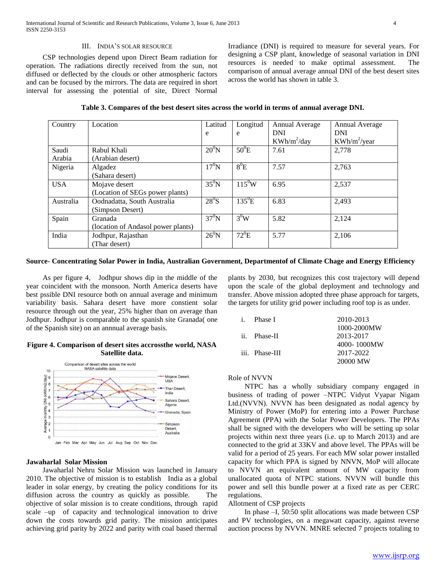#### III. INDIA'S SOLAR RESOURCE

 CSP technologies depend upon Direct Beam radiation for operation. The radiations directly received from the sun, not diffused or deflected by the clouds or other atmospheric factors and can be focused by the mirrors. The data are required in short interval for assessing the potential of site, Direct Normal

Irradiance (DNI) is required to measure for several years. For designing a CSP plant, knowledge of seasonal variation in DNI resources is needed to make optimal assessment. The comparison of annual average annual DNI of the best desert sites across the world has shown in table 3.

| Country    | Location                           | Latitud        | Longitud   | Annual Average | <b>Annual Average</b> |
|------------|------------------------------------|----------------|------------|----------------|-----------------------|
|            |                                    | e              | e          | <b>DNI</b>     | <b>DNI</b>            |
|            |                                    |                |            | $KWh/m^2/day$  | $KWh/m^2$ /year       |
| Saudi      | Rabul Khali                        | $20^0$ N       | $50^0$ E   | 7.61           | 2,778                 |
| Arabia     | (Arabian desert)                   |                |            |                |                       |
| Nigeria    | Algadez                            | $17^0$ N       | $8^{0}E$   | 7.57           | 2,763                 |
|            | (Sahara desert)                    |                |            |                |                       |
| <b>USA</b> | Mojave desert                      | $35^0$ N       | $115^{0}W$ | 6.95           | 2,537                 |
|            | (Location of SEGs power plants)    |                |            |                |                       |
| Australia  | Oodnadatta, South Australia        | $28^0$ S       | $135^0$ E  | 6.83           | 2,493                 |
|            | (Simpson Desert)                   |                |            |                |                       |
| Spain      | Granada                            | $37^0$ N       | $3^0W$     | 5.82           | 2,124                 |
|            | (location of Andasol power plants) |                |            |                |                       |
| India      | Jodhpur, Rajasthan                 | $26^{\circ}$ N | $72^0$ E   | 5.77           | 2,106                 |
|            | (Thar desert)                      |                |            |                |                       |

**Table 3. Compares of the best desert sites across the world in terms of annual average DNI.**

## **Source- Concentrating Solar Power in India, Australian Government, Departmentof of Climate Chage and Energy Efficiency**

 As per figure 4, Jodhpur shows dip in the middle of the year coincident with the monsoon. North America deserts have best pssible DNI resource both on annual average and minimum variability basis. Sahara desert have more constient solar resource through out the year, 25% higher than on average than Jodhpur. Jodhpur is comparable to the spanish site Granada( one of the Spanish site) on an annnual average basis.

#### **Figure 4. Comparison of desert sites accrossthe world, NASA Satellite data.**



## **Jawaharlal Solar Mission**

 Jawaharlal Nehru Solar Mission was launched in January 2010. The objective of mission is to establish India as a global leader in solar energy, by creating the policy conditions for its diffusion across the country as quickly as possible. The objective of solar mission is to create conditions, through rapid scale –up of capacity and technological innovation to drive down the costs towards grid parity. The mission anticipates achieving grid parity by 2022 and parity with coal based thermal

plants by 2030, but recognizes this cost trajectory will depend upon the scale of the global deployment and technology and transfer. Above mission adopted three phase approach for targets, the targets for utility grid power including roof top is as under.

| i. Phase I     | 2010-2013   |
|----------------|-------------|
|                | 1000-2000MW |
| ii. Phase-II   | 2013-2017   |
|                | 4000-1000MW |
| iii. Phase-III | 2017-2022   |
|                | 20000 MW    |

#### Role of NVVN

 NTPC has a wholly subsidiary company engaged in business of trading of power –NTPC Vidyut Vyapar Nigam Ltd.(NVVN). NVVN has been designated as nodal agency by Ministry of Power (MoP) for entering into a Power Purchase Agreement (PPA) with the Solar Power Developers. The PPAs shall be signed with the developers who will be setting up solar projects within next three years (i.e. up to March 2013) and are connected to the grid at 33KV and above level. The PPAs will be valid for a period of 25 years. For each MW solar power installed capacity for which PPA is signed by NNVN, MoP will allocate to NVVN an equivalent amount of MW capacity from unallocated quota of NTPC stations. NVVN will bundle this power and sell this bundle power at a fixed rate as per CERC regulations.

# Allotment of CSP projects

 In phase –I, 50:50 split allocations was made between CSP and PV technologies, on a megawatt capacity, against reverse auction process by NVVN. MNRE selected 7 projects totaling to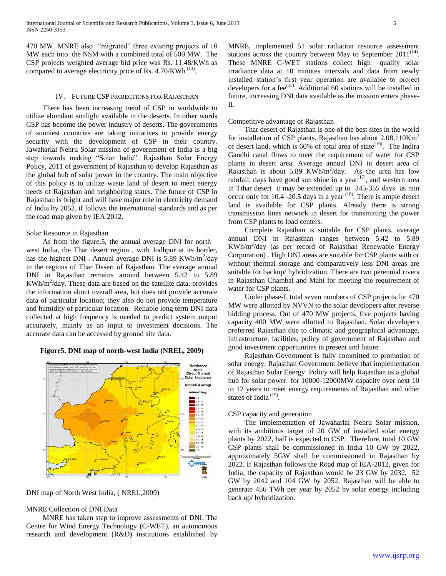470 MW. MNRE also "migrated" three existing projects of 10 MW each into the NSM with a combined total of 500 MW. The CSP projects weighted average bid price was Rs. 11.48/KWh as compared to average electricity price of Rs. 4.70/KWh<sup>(13)</sup>.

#### IV. FUTURE CSP PROJECTIONS FOR RAJASTHAN

 There has been increasing trend of CSP in worldwide to utilize abundant sunlight available in the deserts. In other words CSP has become the power industry of deserts. The governments of sunniest countries are taking initiatives to provide energy security with the development of CSP in their country. Jawaharlal Nehru Solar mission of government of India is a big step towards making "Solar India". Rajasthan Solar Energy Policy, 2011 of government of Rajasthan to develop Rajasthan as the global hub of solar power in the country. The main objective of this policy is to utilize waste land of desert to meet energy needs of Rajasthan and neighboring states. The future of CSP in Rajasthan is bright and will have major role in electricity demand of India by 2052, if follows the international standards and as per the road map given by IEA 2012.

#### Solar Resource in Rajasthan

 As from the figure.5, the annual average DNI for north – west India, the Thar desert region , with Jodhpur at its border, has the highest DNI . Annual average DNI is  $5.89$  KWh/m<sup>2</sup>/day in the regions of Thar Desert of Rajasthan. The average annual DNI in Rajasthan remains around between 5.42 to 5.89  $KWh/m^2/day$ . These data are based on the satellite data, provides the information about overall area, but does not provide accurate data of particular location; they also do not provide temperature and humidity of particular location. Reliable long term DNI data collected at high frequency is needed to predict system output accurately, mainly as an input to investment decisions. The accurate data can be accessed by ground site data.

### **Figure5. DNI map of north-west India (NREL, 2009)**



DNI map of North West India, ( NREL,2009)

#### MNRE Collection of DNI Data

 MNRE has taken step to improve assessments of DNI. The Centre for Wind Energy Technology (C-WET), an autonomous research and development (R&D) institutions established by MNRE, implemented 51 solar radiation resource assessment stations across the country between May to September  $2011^{(14)}$ . These MNRE C-WET stations collect high –quality solar irradiance data at 10 minutes intervals and data from newly installed station's first year operation are available to project developers for a fee<sup>(15)</sup>. Additional 60 stations will be installed in future, increasing DNI data available as the mission enters phase-II.

#### Competitive advantage of Rajasthan

 Thar desert of Rajasthan is one of the best sites in the world for installation of CSP plants. Rajasthan has about  $2.08,110$ Km<sup>2</sup> of desert land, which is  $60\%$  of total area of state<sup>(16)</sup>. The Indira Gandhi canal flows to meet the requirement of water for CSP plants in desert area. Average annual DNI in desert area of Rajasthan is about 5.89 KWh/m<sup>2</sup>/day. As the area has low rainfall, days have good sun shine in a year<sup> $(17)$ </sup>, and western area in Tthar desert it may be extended up to 345-355 days as rain occur only for 10.4 -20.5 days in a year  $^{(18)}$ . There is ample desert land is available for CSP plants. Already there is strong transmission lines network in desert for transmitting the power from CSP plants to load centers.

 Complete Rajasthan is suitable for CSP plants, average annual DNI in Rajasthan ranges between 5.42 to 5.89 KWh/m<sup>2</sup> /day (as per record of Rajasthan Renewable Energy Corporation) . High DNI areas are suitable for CSP plants with or without thermal storage and comparatively less DNI areas are suitable for backup/ hybridization. There are two perennial rivers in Rajasthan Chambal and Mahi for meeting the requirement of water for CSP plants.

 Under phase-I, total seven numbers of CSP projects for 470 MW were allotted by NVVN to the solar developers after reverse bidding process. Out of 470 MW projects, five projects having capacity 400 MW were allotted to Rajasthan. Solar developers preferred Rajasthan due to climatic and geographical advantage, infrastructure, facilities, policy of government of Rajasthan and good investment opportunities in present and future.

 Rajasthan Government is fully committed to promotion of solar energy. Rajasthan Government believe that implementation of Rajasthan Solar Energy Policy will help Rajasthan as a global hub for solar power for 10000-12000MW capacity over next 10 to 12 years to meet energy requirements of Rajasthan and other states of India<sup>(19)</sup>.

# CSP capacity and generation

 The implementation of Jawaharlal Nehru Solar mission, with its ambitious target of 20 GW of installed solar energy plants by 2022, half is expected to CSP. Therefore, total 10 GW CSP plants shall be commissioned in India 10 GW by 2022, approximately 5GW shall be commissioned in Rajasthan by 2022. If Rajasthan follows the Road map of IEA-2012, given for India, the capacity of Rajasthan would be 23 GW by 2032, 52 GW by 2042 and 104 GW by 2052. Rajasthan will be able to generate 456 TWh per year by 2052 by solar energy including back up/ hybridization.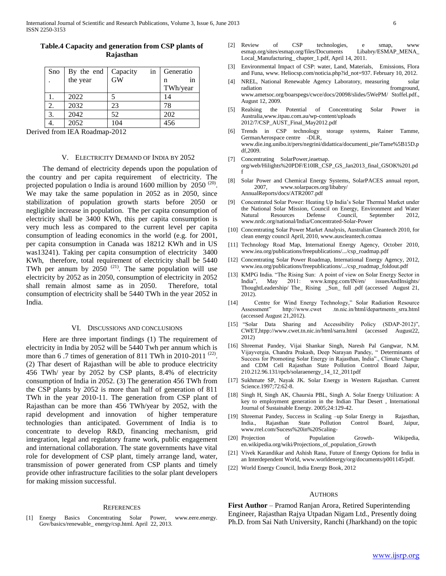| Sno | By the end | in<br>Capacity | Generatio |
|-----|------------|----------------|-----------|
|     | the year   | <b>GW</b>      | 1n        |
|     |            |                | TWh/year  |
|     | 2022       |                | 14        |
| 2.  | 2032       | 23             | 78        |
| 3.  | 2042       | 52             | 202       |
|     | 2052       | 104            | 456       |

# **Table.4 Capacity and generation from CSP plants of Rajasthan**

Derived from IEA Roadmap-2012

#### V. ELECTRICITY DEMAND OF INDIA BY 2052

 The demand of electricity depends upon the population of the country and per capita requirement of electricity. The projected population o India is around  $1600$  million by  $2050^{(20)}$ . We may take the same population in 2052 as in 2050, since stabilization of population growth starts before 2050 or negligible increase in population. The per capita consumption of electricity shall be 3400 KWh, this per capita consumption is very much less as compared to the current level per capita consumption of leading economics in the world (e.g. for 2001, per capita consumption in Canada was 18212 KWh and in US was13241). Taking per capita consumption of electricity 3400 KWh, therefore, total requirement of electricity shall be 5440 TWh per annum by  $2050^{(21)}$ . The same population will use electricity by 2052 as in 2050, consumption of electricity in 2052 shall remain almost same as in 2050. Therefore, total consumption of electricity shall be 5440 TWh in the year 2052 in India.

#### VI. DISCUSSIONS AND CONCLUSIONS

 Here are three important findings (1) The requirement of electricity in India by 2052 will be 5440 Twh per annum which is more than  $6.7$  times of generation of 811 TWh in 2010-2011<sup>(22)</sup>. (2) Thar desert of Rajasthan will be able to produce electricity 456 TWh/ year by 2052 by CSP plants, 8.4% of electricity consumption of India in 2052. (3) The generation 456 TWh from the CSP plants by 2052 is more than half of generation of 811 TWh in the year 2010-11. The generation from CSP plant of Rajasthan can be more than 456 TWh/year by 2052, with the rapid development and innovation of higher temperature technologies than anticipated. Government of India is to concentrate to develop R&D, financing mechanism, grid integration, legal and regulatory frame work, public engagement and international collaboration. The state governments have vital role for development of CSP plant, timely arrange land, water, transmission of power generated from CSP plants and timely provide other infrastructure facilities to the solar plant developers for making mission successful.

#### **REFERENCES**

[1] Energy Basics Concentrating Solar Power, www.eere.energy. Gov/basics/renewable\_ energy/csp.html. April 22, 2013.

- [2] Review of CSP technologies, e smap, www<br>esmap.org/sites/esmap.org/files/Documents Libabry/ESMAP\_MENA\_ esmap.org/sites/esmap.org/files/Documents Local\_Manufacturing\_ chapter\_1.pdf, April 14, 2011.
- [3] Environmental Impact of CSP: water, Land, Materials, Emissions, Flora and Funa, www. Heliocsp.com/noticia.php?id\_not=937. February 10, 2012.
- [4] NREL, National Renewable Agency Laboratory, measuring solar radiation **from the contract of the contract of the contract of the contract of the contract of the contract of the contract of the contract of the contract of the contract of the contract of the contract of the contract o** www.ametsoc.org/boarspegs/cwce/docs/20098/slides/5WePM/ Stoffel.pdf., August 12, 2009.
- [5] Realsing the Potential of Concentrating Solar Power in Australia,www.itpau.com.au/wp-content/uploads 2012/7/CSP\_AUST\_Final\_May2012.pdf
- [6] Trends in CSP technology storage systems, Rainer Tamme, GermanAerospace centre -DLR, www.die.ing.unibo.it/pers/negrini/didattica/documenti\_pie/Tame%5B15D.p df,2009.
- [7] Concentrating SolarPower,ieaetsap. org/web/Hilights%20PDF/E10IR\_CSP\_GS\_Jan2013\_final\_GSOK%201.pd f
- [8] Solar Power and Chemical Energy Systems, SolarPACES annual report, 2007, www.solarpaces.org/libabry/ AnnualReports/docs/ATR2007.pdf
- [9] Concentrated Solar Power: Heating Up India's Solar Thermal Market under the National Solar Mission, Council on Energy, Environment and Water Natural Resources Defense Council, September 2012, www.nrdc.org/national/India/Concentrated-Solar-Power
- [10] Concentrating Solar Power Market Analysis, Australian Cleantech 2010, for clean energy council April, 2010, www.auscleantech.comau
- [11] Technology Road Map, International Energy Agency, October 2010, www.iea.org/publications/freepublications/.../csp\_roadmap.pdf
- [12] Concentrating Solar Power Roadmap, International Energy Agency, 2012, www.iea.org/publications/freepublications/.../csp\_roadmap\_foldout.pdf
- [13] KMPG India. "The Rising Sun: A point of view on Solar Energy Sector in India", May 2011: www.kmpg.com/IN/en/ issuesAndInsights/ ThoughtLeadership/ The\_ Rising \_Sun\_ full .pdf (accessed August 21, 2012).
- [14] Centre for Wind Energy Technology," Solar Radiation Resource Assessment" http://www.cwet .tn.nic.in/html/departments\_srra.html (accessed August 21,2012).
- [15] "Solar Data Sharing and Accessibility Policy (SDAP-2012)", CWET,htpp://www.cwet.tn.nic.in/html/sarra.html (accessed August22, 2012)
- [16] Shreemat Pandey, Vijai Shankar Singh, Naresh Pal Gangwar, N.M. Vijayvergia, Chandra Prakash, Deep Narayan Pandey, " Determinants of Success for Promoting Solar Energy in Rajasthan, India"., Climate Change and CDM Cell Rajasthan State Pollution Control Board Jaipur, 210.212.96.131/rpcb/solaraenergy\_14\_12\_2011pdf
- [17] Sukhmate SP, Nayak JK. Solar Energy in Western Rajasthan. Current Science.1997;72:62-8.
- [18] Singh H, Singh AK, Chaursia PBL, Singh A. Solar Energy Utilization: A key to employment generation in the Indian Thar Desert , International Journal of Sustainable Energy. 2005;24:129-42.
- [19] Shreemat Pandey, Success in Scaling -up Solar Energy in Rajasthan, India., Rajasthan State Pollution Control Board, Jaipur, www.rrel.com/Sucess%20in%20Scaling-
- [20] Projection of Population Growth- Wikipedia, en.wikipedia.org/wiki/Projections\_of\_population\_Growth
- [21] Vivek Karandikar and Ashish Rana, Future of Energy Options for India in an Interdependent World, www.worldenergy/org/documents/p001145/pdf.
- [22] World Energy Council, India Energy Book, 2012

#### **AUTHORS**

**First Author** – Pramod Ranjan Arora, Retired Superintending Engineer, Rajasthan Rajya Utpadan Nigam Ltd., Presently doing Ph.D. from Sai Nath University, Ranchi (Jharkhand) on the topic